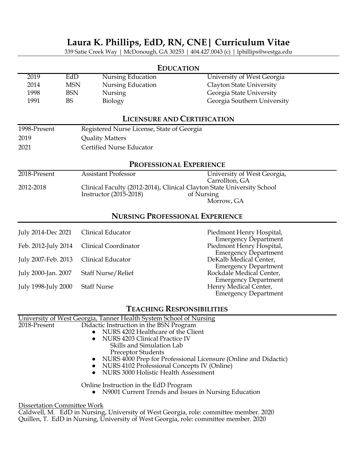## **Laura K. Phillips, EdD, RN, CNE| Curriculum Vitae**

339 Satie Creek Way | McDonough, GA 30253 | 404.427.0043 (c) | lphillips@westga.edu

|                                        |                   |                                            | <b>EDUCATION</b>                   |                                                                                      |
|----------------------------------------|-------------------|--------------------------------------------|------------------------------------|--------------------------------------------------------------------------------------|
| 2019<br>2014                           | EdD<br><b>MSN</b> | Nursing Education<br>Nursing Education     |                                    | University of West Georgia<br>Clayton State University                               |
| 1998                                   | <b>BSN</b>        | Nursing                                    |                                    | Georgia State University                                                             |
| 1991                                   | <b>BS</b>         | Biology                                    |                                    | Georgia Southern University                                                          |
|                                        |                   |                                            | <b>LICENSURE AND CERTIFICATION</b> |                                                                                      |
| 1998-Present                           |                   | Registered Nurse License, State of Georgia |                                    |                                                                                      |
| 2019                                   |                   | <b>Quality Matters</b>                     |                                    |                                                                                      |
| 2021                                   |                   | Certified Nurse Educator                   |                                    |                                                                                      |
| <b>PROFESSIONAL EXPERIENCE</b>         |                   |                                            |                                    |                                                                                      |
| 2018-Present                           |                   | <b>Assistant Professor</b>                 |                                    | University of West Georgia,<br>Carrollton, GA                                        |
| 2012-2018                              |                   | Instructor (2015-2018)                     | of Nursing                         | Clinical Faculty (2012-2014), Clinical Clayton State University School<br>Morrow, GA |
| <b>NURSING PROFESSIONAL EXPERIENCE</b> |                   |                                            |                                    |                                                                                      |
| July 2014-Dec 2021                     |                   | Clinical Educator                          |                                    | Piedmont Henry Hospital,<br><b>Emergency Department</b>                              |
| Feb. 2012-July 2014                    |                   | <b>Clinical Coordinator</b>                |                                    | Piedmont Henry Hospital,                                                             |
| July 2007-Feb. 2013                    |                   | Clinical Educator                          |                                    | <b>Emergency Department</b><br>DeKalb Medical Center,<br><b>Emergency Department</b> |
| July 2000-Jan. 2007                    |                   | <b>Staff Nurse/Relief</b>                  |                                    | Rockdale Medical Center.                                                             |

|                                       | Feb. 2012-July 2014 Clinical Coordinator | Piedmont Henry Hospital,                                |
|---------------------------------------|------------------------------------------|---------------------------------------------------------|
|                                       |                                          | <b>Emergency Department</b>                             |
| July 2007-Feb. 2013 Clinical Educator |                                          | DeKalb Medical Center,                                  |
| July 2000-Jan. 2007                   | <b>Staff Nurse/Relief</b>                | <b>Emergency Department</b><br>Rockdale Medical Center, |
|                                       |                                          | <b>Emergency Department</b>                             |
| July 1998-July 2000 Staff Nurse       |                                          | Henry Medical Center,                                   |
|                                       |                                          | <b>Emergency Department</b>                             |
|                                       |                                          |                                                         |

### **TEACHING RESPONSIBILITIES**

|              | University of West Georgia, Tanner Health System School of Nursing |
|--------------|--------------------------------------------------------------------|
| 2018-Present | Didactic Instruction in the BSN Program                            |
|              | • NURS 4202 Healthcare of the Client                               |
|              | • NURS 4203 Clinical Practice IV                                   |
|              | Skills and Simulation Lab                                          |
|              | <b>Preceptor Students</b>                                          |
|              | • NURS 4000 Prep for Professional Licensure (Online and Didactic)  |
|              | • NURS 4102 Professional Concepts IV (Online)                      |
|              | • NURS 3000 Holistic Health Assessment                             |
|              | Online Instruction in the EdD Program                              |
|              | • N9001 Current Trends and Issues in Nursing Education             |

#### Dissertation Committee Work

Caldwell, M. EdD in Nursing, University of West Georgia, role: committee member. 2020 Quillen, T. EdD in Nursing, University of West Georgia, role: committee member. 2020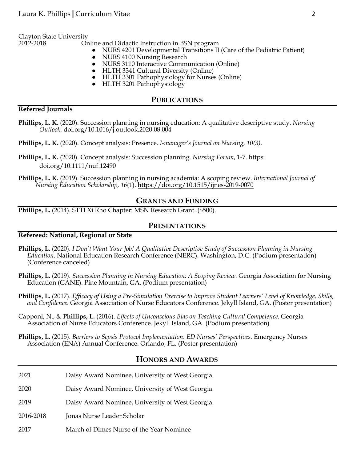Clayton State University

Online and Didactic Instruction in BSN program

- NURS 4201 Developmental Transitions II (Care of the Pediatric Patient)
- NURS 4100 Nursing Research
- NURS 3110 Interactive Communication (Online)
- HLTH 3341 Cultural Diversity (Online)
- HLTH 3301 Pathophysiology for Nurses (Online)
- HLTH 3201 Pathophysiology

#### **PUBLICATIONS**

#### **Referred Journals**

**Phillips, L. K.** (2020). Succession planning in nursing education: A qualitative descriptive study. *Nursing Outlook.* doi.org/10.1016/j.outlook.2020.08.004

**Phillips, L. K.** (2020). Concept analysis: Presence. *I-manager's Journal on Nursing, 10(3).* 

**Phillips, L. K.** (2020). Concept analysis: Succession planning. *Nursing Forum*, 1-7. https: doi.org/10.1111/nuf.12490

**Phillips, L. K.** (2019). Succession planning in nursing academia: A scoping review. *International Journal of Nursing Education Scholarship, 16*(1).<https://doi.org/10.1515/ijnes-2019-0070>

#### **GRANTS AND FUNDING**

**Phillips, L.** (2014). STTI Xi Rho Chapter: MSN Research Grant. (\$500).

#### **PRESENTATIONS**

#### **Refereed: National, Regional or State**

- **Phillips, L.** (2020). *I Don't Want Your Job! A Qualitative Descriptive Study of Succession Planning in Nursing Education.* National Education Research Conference (NERC). Washington, D.C. (Podium presentation) (Conference canceled)
- **Phillips, L.** (2019). *Succession Planning in Nursing Education: A Scoping Review.* Georgia Association for Nursing Education (GANE). Pine Mountain, GA. (Podium presentation)

**Phillips, L.** (2017). *Efficacy of Using a Pre-Simulation Exercise to Improve Student Learners' Level of Knowledge, Skills, and Confidence.* Georgia Association of Nurse Educators Conference. Jekyll Island, GA. (Poster presentation)

- Capponi, N., & **Phillips, L.** (2016). *Effects of Unconscious Bias on Teaching Cultural Competence.* Georgia Association of Nurse Educators Conference. Jekyll Island, GA. (Podium presentation)
- **Phillips, L.** (2015). *Barriers to Sepsis Protocol Implementation: ED Nurses' Perspectives.* Emergency Nurses Association (ENA) Annual Conference. Orlando, FL. (Poster presentation)

#### **HONORS AND AWARDS**

| 2021      | Daisy Award Nominee, University of West Georgia |
|-----------|-------------------------------------------------|
| 2020      | Daisy Award Nominee, University of West Georgia |
| 2019      | Daisy Award Nominee, University of West Georgia |
| 2016-2018 | Jonas Nurse Leader Scholar                      |
|           |                                                 |

#### 2017 March of Dimes Nurse of the Year Nominee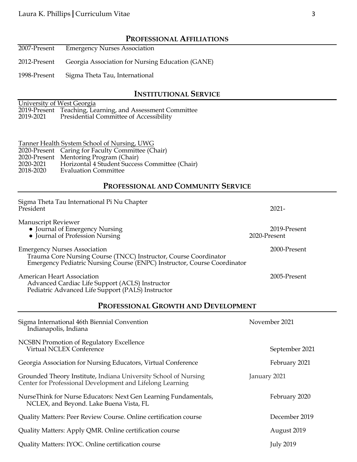## **PROFESSIONAL AFFILIATIONS**

- 2007-Present Emergency Nurses Association
- 2012-Present Georgia Association for Nursing Education (GANE)

1998-Present Sigma Theta Tau, International

## **INSTITUTIONAL SERVICE**

|           | University of West Georgia                                |
|-----------|-----------------------------------------------------------|
|           | 2019-Present Teaching, Learning, and Assessment Committee |
| 2019-2021 | Presidential Committee of Accessibility                   |

|           | Tanner Health System School of Nursing, UWG       |
|-----------|---------------------------------------------------|
|           | 2020-Present Caring for Faculty Committee (Chair) |
|           | 2020-Present Mentoring Program (Chair)            |
| 2020-2021 | Horizontal 4 Student Success Committee (Chair)    |
| 2018-2020 | <b>Evaluation Committee</b>                       |

## **PROFESSIONAL AND COMMUNITY SERVICE**

| Sigma Theta Tau International Pi Nu Chapter<br>President                                                                                                                            |              | $2021 -$         |  |
|-------------------------------------------------------------------------------------------------------------------------------------------------------------------------------------|--------------|------------------|--|
| <b>Manuscript Reviewer</b><br>• Journal of Emergency Nursing<br>• Journal of Profession Nursing                                                                                     | 2020-Present | 2019-Present     |  |
| <b>Emergency Nurses Association</b><br>Trauma Core Nursing Course (TNCC) Instructor, Course Coordinator<br>Emergency Pediatric Nursing Course (ENPC) Instructor, Course Coordinator |              | 2000-Present     |  |
| <b>American Heart Association</b><br>Advanced Cardiac Life Support (ACLS) Instructor<br>Pediatric Advanced Life Support (PALS) Instructor                                           |              | 2005-Present     |  |
| PROFESSIONAL GROWTH AND DEVELOPMENT                                                                                                                                                 |              |                  |  |
| Sigma International 46th Biennial Convention<br>Indianapolis, Indiana                                                                                                               |              | November 2021    |  |
| <b>NCSBN Promotion of Regulatory Excellence</b><br>Virtual NCLEX Conference                                                                                                         |              | September 2021   |  |
| Georgia Association for Nursing Educators, Virtual Conference                                                                                                                       |              | February 2021    |  |
| Grounded Theory Institute, Indiana University School of Nursing<br>Center for Professional Development and Lifelong Learning                                                        | January 2021 |                  |  |
| NurseThink for Nurse Educators: Next Gen Learning Fundamentals,<br>NCLEX, and Beyond. Lake Buena Vista, FL                                                                          |              | February 2020    |  |
| Quality Matters: Peer Review Course. Online certification course                                                                                                                    |              | December 2019    |  |
| Quality Matters: Apply QMR. Online certification course                                                                                                                             |              | August 2019      |  |
| Quality Matters: IYOC. Online certification course                                                                                                                                  |              | <b>July 2019</b> |  |